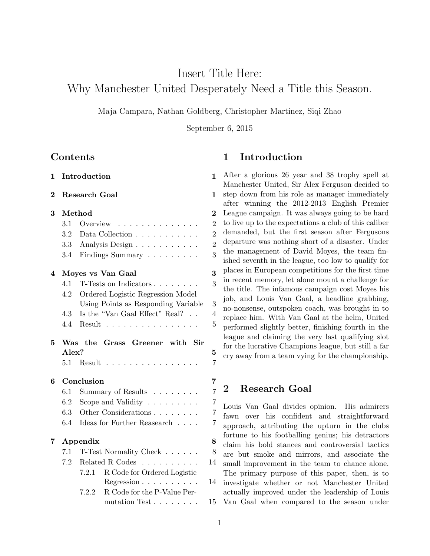## Insert Title Here:

## Why Manchester United Desperately Need a Title this Season.

Maja Campara, Nathan Goldberg, Christopher Martinez, Siqi Zhao

September 6, 2015

## Contents

| 1              |                  | Introduction                                  | 1                  |
|----------------|------------------|-----------------------------------------------|--------------------|
| $\overline{2}$ |                  | <b>Research Goal</b>                          | $\mathbf{1}$       |
| 3              |                  | Method                                        | $\overline{2}$     |
|                | 3.1              | Overview                                      | $\overline{2}$     |
|                | $3.2\phantom{0}$ | Data Collection                               | $\overline{2}$     |
|                | 3.3              | Analysis Design                               | $\overline{2}$     |
|                | 3.4              | Findings Summary $\ldots \ldots \ldots$       | 3                  |
| 4              |                  | Moyes vs Van Gaal                             | $\overline{\bf 3}$ |
|                | 4.1              | T-Tests on Indicators                         | 3                  |
|                | 4.2              | Ordered Logistic Regression Model             |                    |
|                |                  | Using Points as Responding Variable           | 3                  |
|                | 4.3              | Is the "Van Gaal Effect" Real?                | $\overline{4}$     |
|                | 4.4              | Result $\ldots$ .                             | 5                  |
| 5              | Alex?            | Was the Grass Greener with Sir                | $\overline{5}$     |
|                | 5.1              | $Result \dots$<br>$\sim 100$ .                | $\overline{7}$     |
| 6              |                  | Conclusion                                    | 7                  |
|                | 6.1              | Summary of Results                            | $\overline{7}$     |
|                | $6.2\,$          | Scope and Validity $\dots \dots$              | $\overline{7}$     |
|                | 6.3              | Other Considerations                          | 7                  |
|                | 6.4              | Ideas for Further Reasearch $\ . \ . \ . \ .$ | $\overline{7}$     |
| 7              |                  | Appendix                                      | 8                  |
|                | 7.1              | T-Test Normality Check                        | 8                  |
|                | 7.2              | Related R Codes                               | 14                 |
|                |                  | R Code for Ordered Logistic<br>7.2.1          |                    |
|                |                  | $Regression \ldots \ldots \ldots$             | 14                 |
|                |                  | R Code for the P-Value Per-<br>7.2.2          |                    |
|                |                  | mutation Test                                 | 15                 |

## 1 Introduction

After a glorious 26 year and 38 trophy spell at Manchester United, Sir Alex Ferguson decided to step down from his role as manager immediately after winning the 2012-2013 English Premier League campaign. It was always going to be hard to live up to the expectations a club of this caliber demanded, but the first season after Fergusons departure was nothing short of a disaster. Under the management of David Moyes, the team finished seventh in the league, too low to qualify for places in European competitions for the first time in recent memory, let alone mount a challenge for the title. The infamous campaign cost Moyes his job, and Louis Van Gaal, a headline grabbing, no-nonsense, outspoken coach, was brought in to replace him. With Van Gaal at the helm, United performed slightly better, finishing fourth in the league and claiming the very last qualifying slot for the lucrative Champions league, but still a far cry away from a team vying for the championship.

## 2 Research Goal

Louis Van Gaal divides opinion. His admirers fawn over his confident and straightforward approach, attributing the upturn in the clubs fortune to his footballing genius; his detractors claim his bold stances and controversial tactics are but smoke and mirrors, and associate the small improvement in the team to chance alone. The primary purpose of this paper, then, is to investigate whether or not Manchester United actually improved under the leadership of Louis Van Gaal when compared to the season under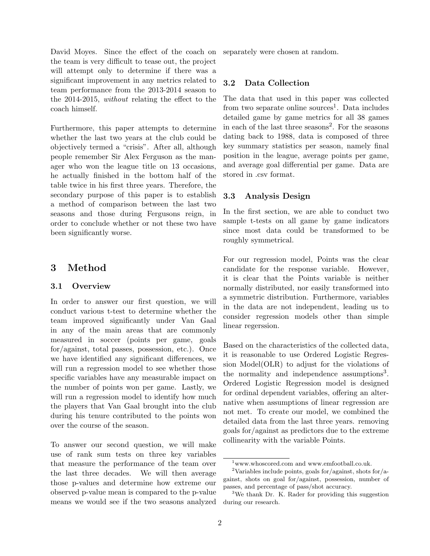David Moyes. Since the effect of the coach on the team is very difficult to tease out, the project will attempt only to determine if there was a significant improvement in any metrics related to team performance from the 2013-2014 season to the 2014-2015, without relating the effect to the coach himself.

Furthermore, this paper attempts to determine whether the last two years at the club could be objectively termed a "crisis". After all, although people remember Sir Alex Ferguson as the manager who won the league title on 13 occasions, he actually finished in the bottom half of the table twice in his first three years. Therefore, the secondary purpose of this paper is to establish a method of comparison between the last two seasons and those during Fergusons reign, in order to conclude whether or not these two have been significantly worse.

## 3 Method

### 3.1 Overview

In order to answer our first question, we will conduct various t-test to determine whether the team improved significantly under Van Gaal in any of the main areas that are commonly measured in soccer (points per game, goals for/against, total passes, possession, etc.). Once we have identified any significant differences, we will run a regression model to see whether those specific variables have any measurable impact on the number of points won per game. Lastly, we will run a regression model to identify how much the players that Van Gaal brought into the club during his tenure contributed to the points won over the course of the season.

To answer our second question, we will make use of rank sum tests on three key variables that measure the performance of the team over the last three decades. We will then average those p-values and determine how extreme our observed p-value mean is compared to the p-value means we would see if the two seasons analyzed separately were chosen at random.

### 3.2 Data Collection

The data that used in this paper was collected from two separate online sources<sup>1</sup>. Data includes detailed game by game metrics for all 38 games in each of the last three seasons<sup>2</sup>. For the seasons dating back to 1988, data is composed of three key summary statistics per season, namely final position in the league, average points per game, and average goal differential per game. Data are stored in .csv format.

### 3.3 Analysis Design

In the first section, we are able to conduct two sample t-tests on all game by game indicators since most data could be transformed to be roughly symmetrical.

For our regression model, Points was the clear candidate for the response variable. However, it is clear that the Points variable is neither normally distributed, nor easily transformed into a symmetric distribution. Furthermore, variables in the data are not independent, leading us to consider regression models other than simple linear regerssion.

Based on the characteristics of the collected data, it is reasonable to use Ordered Logistic Regression Model(OLR) to adjust for the violations of the normality and independence assumptions<sup>3</sup>. Ordered Logistic Regression model is designed for ordinal dependent variables, offering an alternative when assumptions of linear regression are not met. To create our model, we combined the detailed data from the last three years. removing goals for/against as predictors due to the extreme collinearity with the variable Points.

 $^{\rm 1}$  www.whoscored.com and www.emfootball.co.uk.

<sup>&</sup>lt;sup>2</sup>Variables include points, goals for/against, shots for/against, shots on goal for/against, possession, number of passes, and percentage of pass/shot accuracy.

<sup>3</sup>We thank Dr. K. Rader for providing this suggestion during our research.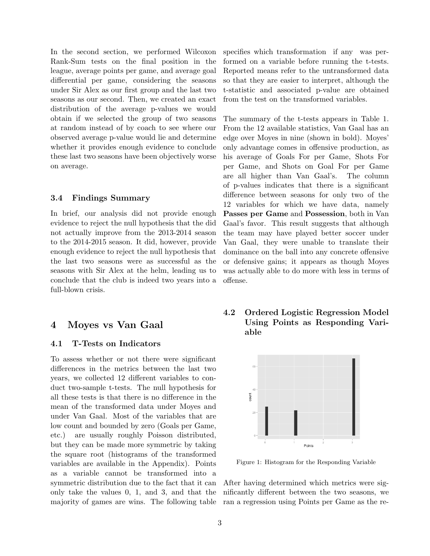In the second section, we performed Wilcoxon Rank-Sum tests on the final position in the league, average points per game, and average goal differential per game, considering the seasons under Sir Alex as our first group and the last two seasons as our second. Then, we created an exact distribution of the average p-values we would obtain if we selected the group of two seasons at random instead of by coach to see where our observed average p-value would lie and determine whether it provides enough evidence to conclude these last two seasons have been objectively worse on average.

#### 3.4 Findings Summary

In brief, our analysis did not provide enough evidence to reject the null hypothesis that the did not actually improve from the 2013-2014 season to the 2014-2015 season. It did, however, provide enough evidence to reject the null hypothesis that the last two seasons were as successful as the seasons with Sir Alex at the helm, leading us to conclude that the club is indeed two years into a full-blown crisis.

## 4 Moyes vs Van Gaal

### 4.1 T-Tests on Indicators

To assess whether or not there were significant differences in the metrics between the last two years, we collected 12 different variables to conduct two-sample t-tests. The null hypothesis for all these tests is that there is no difference in the mean of the transformed data under Moyes and under Van Gaal. Most of the variables that are low count and bounded by zero (Goals per Game, etc.) are usually roughly Poisson distributed, but they can be made more symmetric by taking the square root (histograms of the transformed variables are available in the Appendix). Points as a variable cannot be transformed into a symmetric distribution due to the fact that it can only take the values 0, 1, and 3, and that the majority of games are wins. The following table specifies which transformation if any was performed on a variable before running the t-tests. Reported means refer to the untransformed data so that they are easier to interpret, although the t-statistic and associated p-value are obtained from the test on the transformed variables.

The summary of the t-tests appears in Table 1. From the 12 available statistics, Van Gaal has an edge over Moyes in nine (shown in bold). Moyes' only advantage comes in offensive production, as his average of Goals For per Game, Shots For per Game, and Shots on Goal For per Game are all higher than Van Gaal's. The column of p-values indicates that there is a significant difference between seasons for only two of the 12 variables for which we have data, namely Passes per Game and Possession, both in Van Gaal's favor. This result suggests that although the team may have played better soccer under Van Gaal, they were unable to translate their dominance on the ball into any concrete offensive or defensive gains; it appears as though Moyes was actually able to do more with less in terms of offense.

4.2 Ordered Logistic Regression Model Using Points as Responding Variable



Figure 1: Histogram for the Responding Variable

After having determined which metrics were significantly different between the two seasons, we ran a regression using Points per Game as the re-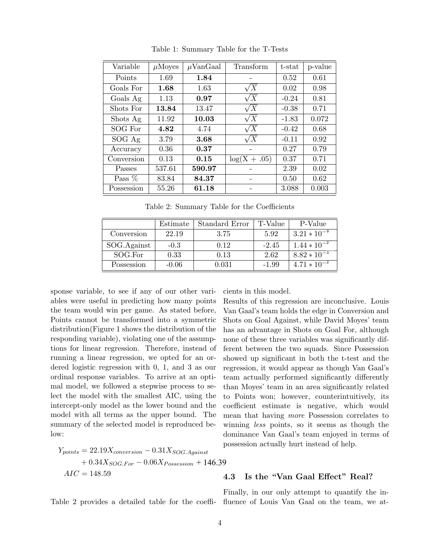| Variable   | $\mu$ Moyes | $\mu$ VanGaal | Transform      | t-stat  | p-value |
|------------|-------------|---------------|----------------|---------|---------|
| Points     | 1.69        | 1.84          |                | 0.52    | 0.61    |
| Goals For  | 1.68        | 1.63          | $\sqrt{X}$     | 0.02    | 0.98    |
| Goals Ag   | 1.13        | 0.97          | $\sqrt{X}$     | $-0.24$ | 0.81    |
| Shots For  | 13.84       | 13.47         | $\sqrt{X}$     | $-0.38$ | 0.71    |
| Shots Ag   | 11.92       | 10.03         | $\sqrt{X}$     | $-1.83$ | 0.072   |
| SOG For    | 4.82        | 4.74          | $\sqrt{X}$     | $-0.42$ | 0.68    |
| SOG Ag     | 3.79        | 3.68          | $\sqrt{X}$     | $-0.11$ | 0.92    |
| Accuracy   | 0.36        | 0.37          |                | 0.27    | 0.79    |
| Conversion | 0.13        | 0.15          | $log(X + .05)$ | 0.37    | 0.71    |
| Passes     | 537.61      | 590.97        |                | 2.39    | 0.02    |
| Pass $%$   | 83.84       | 84.37         |                | 0.50    | 0.62    |
| Possession | 55.26       | 61.18         |                | 3.088   | 0.003   |

Table 1: Summary Table for the T-Tests

Table 2: Summary Table for the Coefficients

|             | Estimate | Standard Error | T-Value | P-Value          |
|-------------|----------|----------------|---------|------------------|
| Conversion  | 22.19    | 3.75           | 5.92    | $3.21 * 10^{-9}$ |
| SOG.Against | $-0.3$   | 0.12           | $-2.45$ | $1.44 * 10^{-2}$ |
| SOG.For     | 0.33     | 0.13           | 2.62    | $8.82 * 10^{-3}$ |
| Possession  | $-0.06$  | 0.031          | $-1.99$ | $4.71 * 10^{-2}$ |

sponse variable, to see if any of our other variables were useful in predicting how many points the team would win per game. As stated before, Points cannot be transformed into a symmetric distribution(Figure 1 shows the distribution of the responding variable), violating one of the assumptions for linear regression. Therefore, instead of running a linear regression, we opted for an ordered logistic regression with 0, 1, and 3 as our ordinal response variables. To arrive at an optimal model, we followed a stepwise process to select the model with the smallest AIC, using the intercept-only model as the lower bound and the model with all terms as the upper bound. The summary of the selected model is reproduced below:

$$
Y_{points} = 22.19X_{conversion} - 0.31X_{SOG.Against}
$$

$$
+ 0.34X_{SOG.For} - 0.06X_{Possession} + 146.39
$$

$$
AIC = 148.59
$$

Table 2 provides a detailed table for the coeffi-fluence of Louis Van Gaal on the team, we at-

cients in this model.

Results of this regression are inconclusive. Louis Van Gaal's team holds the edge in Conversion and Shots on Goal Against, while David Moyes' team has an advantage in Shots on Goal For, although none of these three variables was significantly different between the two squads. Since Possession showed up significant in both the t-test and the regression, it would appear as though Van Gaal's team actually performed significantly differently than Moyes' team in an area significantly related to Points won; however, counterintuitively, its coefficient estimate is negative, which would mean that having more Possession correlates to winning less points, so it seems as though the dominance Van Gaal's team enjoyed in terms of possession actually hurt instead of help.

## 9.

### 4.3 Is the "Van Gaal Effect" Real?

Finally, in our only attempt to quantify the in-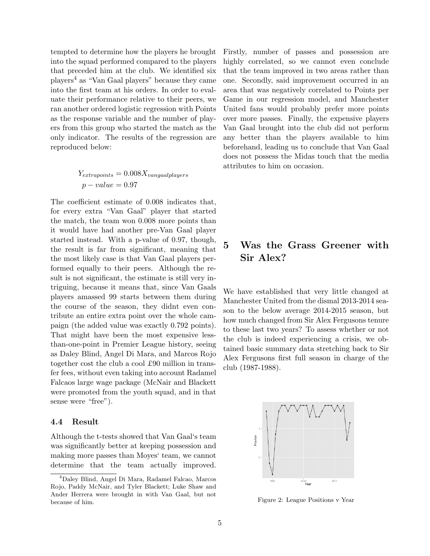tempted to determine how the players he brought into the squad performed compared to the players that preceded him at the club. We identified six players<sup>4</sup> as "Van Gaal players" because they came into the first team at his orders. In order to evaluate their performance relative to their peers, we ran another ordered logistic regression with Points as the response variable and the number of players from this group who started the match as the only indicator. The results of the regression are reproduced below:

$$
Y_{extrapoints} = 0.008 X_{vangaal players}
$$
  

$$
p-value = 0.97
$$

The coefficient estimate of 0.008 indicates that, for every extra "Van Gaal" player that started the match, the team won 0.008 more points than it would have had another pre-Van Gaal player started instead. With a p-value of 0.97, though, the result is far from significant, meaning that the most likely case is that Van Gaal players performed equally to their peers. Although the result is not significant, the estimate is still very intriguing, because it means that, since Van Gaals players amassed 99 starts between them during the course of the season, they didnt even contribute an entire extra point over the whole campaign (the added value was exactly 0.792 points). That might have been the most expensive lessthan-one-point in Premier League history, seeing as Daley Blind, Angel Di Mara, and Marcos Rojo together cost the club a cool £90 million in transfer fees, without even taking into account Radamel Falcaos large wage package (McNair and Blackett were promoted from the youth squad, and in that sense were "free").

#### 4.4 Result

Although the t-tests showed that Van Gaal's team was significantly better at keeping possession and making more passes than Moyes' team, we cannot determine that the team actually improved.

Firstly, number of passes and possession are highly correlated, so we cannot even conclude that the team improved in two areas rather than one. Secondly, said improvement occurred in an area that was negatively correlated to Points per Game in our regression model, and Manchester United fans would probably prefer more points over more passes. Finally, the expensive players Van Gaal brought into the club did not perform any better than the players available to him beforehand, leading us to conclude that Van Gaal does not possess the Midas touch that the media attributes to him on occasion.

## 5 Was the Grass Greener with Sir Alex?

We have established that very little changed at Manchester United from the dismal 2013-2014 season to the below average 2014-2015 season, but how much changed from Sir Alex Fergusons tenure to these last two years? To assess whether or not the club is indeed experiencing a crisis, we obtained basic summary data stretching back to Sir Alex Fergusons first full season in charge of the club (1987-1988).



Figure 2: League Positions v Year

<sup>4</sup>Daley Blind, Angel Di Mara, Radamel Falcao, Marcos Rojo, Paddy McNair, and Tyler Blackett; Luke Shaw and Ander Herrera were brought in with Van Gaal, but not because of him.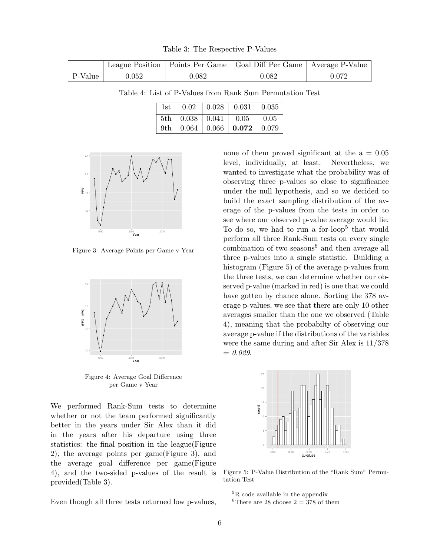Table 3: The Respective P-Values

|         |       |       | League Position   Points Per Game   Goal Diff Per Game   Average P-Value |             |
|---------|-------|-------|--------------------------------------------------------------------------|-------------|
| P-Value | 0.052 | 0.082 | 0.082                                                                    | $\rm 0.072$ |

Table 4: List of P-Values from Rank Sum Permutation Test

| 1st |  | $\vert 0.02 \vert 0.028 \vert 0.031 \vert 0.035$ |  |
|-----|--|--------------------------------------------------|--|
|     |  | $5th$   0.038   0.041   0.05   0.05              |  |
|     |  | 9th   $0.064$   $0.066$   <b>0.072</b>   0.079   |  |



Figure 3: Average Points per Game v Year



Figure 4: Average Goal Difference per Game v Year

We performed Rank-Sum tests to determine whether or not the team performed significantly better in the years under Sir Alex than it did in the years after his departure using three statistics: the final position in the league(Figure 2), the average points per game(Figure 3), and the average goal difference per game(Figure 4), and the two-sided p-values of the result is provided(Table 3).

Even though all three tests returned low p-values,

none of them proved significant at the  $a = 0.05$ level, individually, at least. Nevertheless, we wanted to investigate what the probability was of observing three p-values so close to significance under the null hypothesis, and so we decided to build the exact sampling distribution of the average of the p-values from the tests in order to see where our observed p-value average would lie. To do so, we had to run a for-loop<sup>5</sup> that would perform all three Rank-Sum tests on every single combination of two seasons $6$  and then average all three p-values into a single statistic. Building a histogram (Figure 5) of the average p-values from the three tests, we can determine whether our observed p-value (marked in red) is one that we could have gotten by chance alone. Sorting the 378 average p-values, we see that there are only 10 other averages smaller than the one we observed (Table 4), meaning that the probabilty of observing our average p-value if the distributions of the variables were the same during and after Sir Alex is 11/378  $= 0.029.$ 



Figure 5: P-Value Distribution of the "Rank Sum" Permutation Test

 $^{5}{\rm R}$  code available in the appendix

<sup>&</sup>lt;sup>6</sup>There are 28 choose  $2 = 378$  of them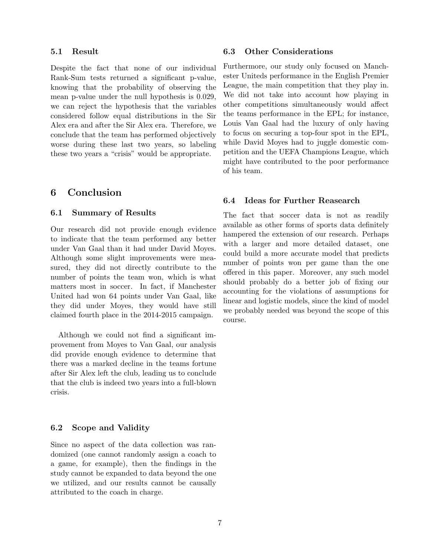#### 5.1 Result

Despite the fact that none of our individual Rank-Sum tests returned a significant p-value, knowing that the probability of observing the mean p-value under the null hypothesis is 0.029, we can reject the hypothesis that the variables considered follow equal distributions in the Sir Alex era and after the Sir Alex era. Therefore, we conclude that the team has performed objectively worse during these last two years, so labeling these two years a "crisis" would be appropriate.

## 6 Conclusion

#### 6.1 Summary of Results

Our research did not provide enough evidence to indicate that the team performed any better under Van Gaal than it had under David Moyes. Although some slight improvements were measured, they did not directly contribute to the number of points the team won, which is what matters most in soccer. In fact, if Manchester United had won 64 points under Van Gaal, like they did under Moyes, they would have still claimed fourth place in the 2014-2015 campaign.

Although we could not find a significant improvement from Moyes to Van Gaal, our analysis did provide enough evidence to determine that there was a marked decline in the teams fortune after Sir Alex left the club, leading us to conclude that the club is indeed two years into a full-blown crisis.

#### 6.2 Scope and Validity

Since no aspect of the data collection was randomized (one cannot randomly assign a coach to a game, for example), then the findings in the study cannot be expanded to data beyond the one we utilized, and our results cannot be causally attributed to the coach in charge.

#### 6.3 Other Considerations

Furthermore, our study only focused on Manchester Uniteds performance in the English Premier League, the main competition that they play in. We did not take into account how playing in other competitions simultaneously would affect the teams performance in the EPL; for instance, Louis Van Gaal had the luxury of only having to focus on securing a top-four spot in the EPL, while David Moyes had to juggle domestic competition and the UEFA Champions League, which might have contributed to the poor performance of his team.

### 6.4 Ideas for Further Reasearch

The fact that soccer data is not as readily available as other forms of sports data definitely hampered the extension of our research. Perhaps with a larger and more detailed dataset, one could build a more accurate model that predicts number of points won per game than the one offered in this paper. Moreover, any such model should probably do a better job of fixing our accounting for the violations of assumptions for linear and logistic models, since the kind of model we probably needed was beyond the scope of this course.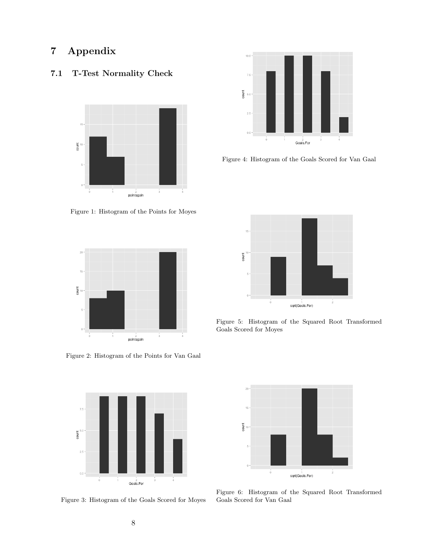# 7 Appendix

## 7.1 T-Test Normality Check



Figure 1: Histogram of the Points for Moyes



Figure 2: Histogram of the Points for Van Gaal



Figure 3: Histogram of the Goals Scored for Moyes



Figure 4: Histogram of the Goals Scored for Van Gaal



Figure 5: Histogram of the Squared Root Transformed Goals Scored for Moyes



Figure 6: Histogram of the Squared Root Transformed Goals Scored for Van Gaal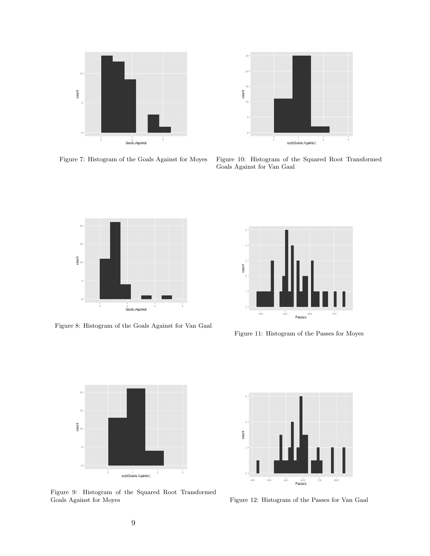



Figure 7: Histogram of the Goals Against for Moyes

Figure 10: Histogram of the Squared Root Transformed Goals Against for Van Gaal



Figure 8: Histogram of the Goals Against for Van Gaal



Figure 11: Histogram of the Passes for Moyes



Figure 9: Histogram of the Squared Root Transformed Goals Against for Moyes



Figure 12: Histogram of the Passes for Van Gaal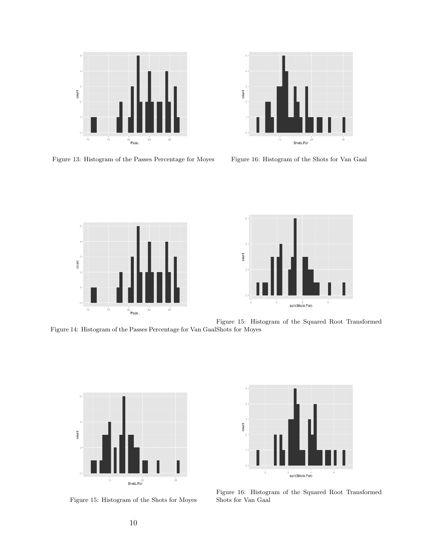

**Dunt**  $10$  $\overline{20}$ Shots.For

Figure 13: Histogram of the Passes Percentage for Moyes

Figure 16: Histogram of the Shots for Van Gaal





Figure 14: Histogram of the Passes Percentage for Van Gaal Shots for Moyes Figure 15: Histogram of the Squared Root Transformed



Figure 15: Histogram of the Shots for Moyes



Figure 16: Histogram of the Squared Root Transformed Shots for Van Gaal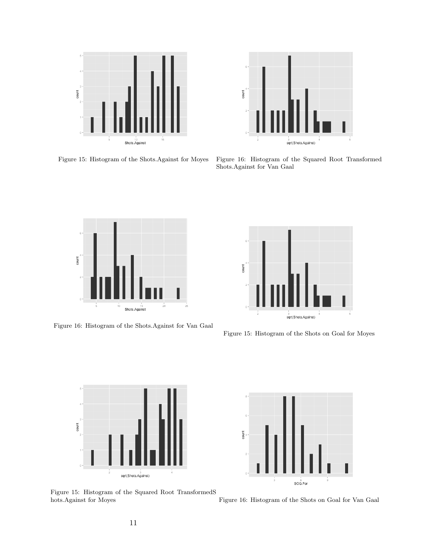

count 3<br>sqrt(Shots.Against)

Figure 15: Histogram of the Shots.Against for Moyes

Figure 16: Histogram of the Squared Root Transformed Shots.Against for Van Gaal



Figure 16: Histogram of the Shots.Against for Van Gaal



Figure 15: Histogram of the Shots on Goal for Moyes





Figure 15: Histogram of the Squared Root TransformedS hots.Against for Moyes

Figure 16: Histogram of the Shots on Goal for Van Gaal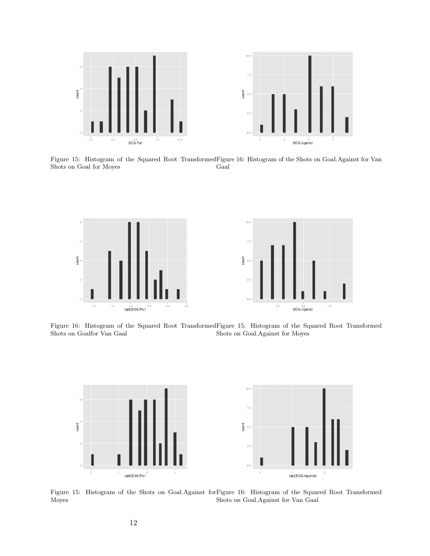

Figure 15: Histogram of the Squared Root Transformed Figure 16: Histogram of the Shots on Goal.Against for Van Shots on Goal for Moyes Gaal



Figure 16: Histogram of the Squared Root Transformed Figure 15: Histogram of the Squared Root Transformed Shots on Goalfor Van Gaal Shots on Goal.Against for Moyes



Figure 15: Histogram of the Shots on Goal.Against for Figure 16: Histogram of the Squared Root Transformed Moyes Shots on Goal.Against for Van Gaal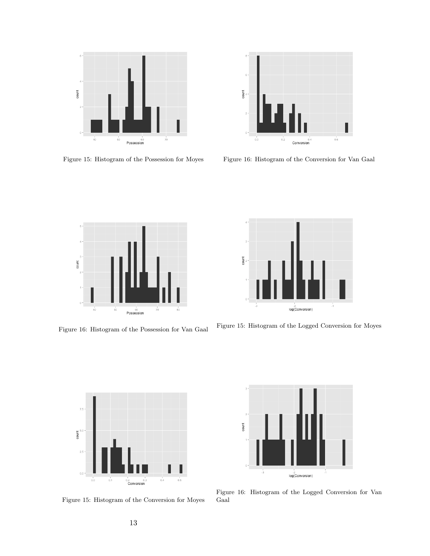

Figure 15: Histogram of the Possession for Moyes



Figure 16: Histogram of the Conversion for Van Gaal



Figure 16: Histogram of the Possession for Van Gaal



Figure 15: Histogram of the Logged Conversion for Moyes



Figure 15: Histogram of the Conversion for Moyes



Figure 16: Histogram of the Logged Conversion for Van Gaal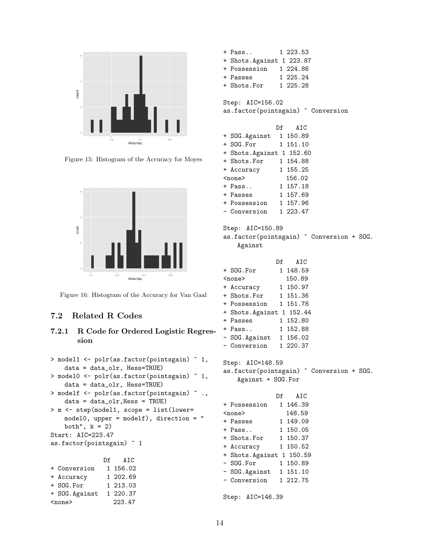

Figure 15: Histogram of the Accuracy for Moyes



Figure 16: Histogram of the Accuracy for Van Gaal

## 7.2 Related R Codes

### 7.2.1 R Code for Ordered Logistic Regression

|                           | > model1 <- polr(as.factor(pointsgain) ~ 1, |  |  |  |  |
|---------------------------|---------------------------------------------|--|--|--|--|
|                           | $data = data\_olr$ , $Hess = TRUE$ )        |  |  |  |  |
|                           | > model0 <- polr(as.factor(pointsgain) ~ 1, |  |  |  |  |
|                           | $data = data\_olr$ , $Hess = TRUE$ )        |  |  |  |  |
|                           | > modelf <- polr(as.factor(pointsgain) ~ ., |  |  |  |  |
|                           | $data = data\_olr$ , Hess = TRUE)           |  |  |  |  |
|                           | > m <- step(model1, scope = list(lower=     |  |  |  |  |
|                           | model0, upper = modelf), direction = $"$    |  |  |  |  |
| both", $k = 2$ )          |                                             |  |  |  |  |
| $Start: AIC=223.47$       |                                             |  |  |  |  |
| as.factor(pointsgain) ~ 1 |                                             |  |  |  |  |
|                           |                                             |  |  |  |  |
|                           | Df AIC                                      |  |  |  |  |
| + Conversion 1 156.02     |                                             |  |  |  |  |
| + Accuracy 1 202.69       |                                             |  |  |  |  |
| + SOG.For                 | 1 213.03                                    |  |  |  |  |
| + SOG.Against             | 1 220.37                                    |  |  |  |  |
| 223.47<br>$none$          |                                             |  |  |  |  |

```
+ Pass.. 1 223.53
+ Shots.Against 1 223.87
+ Possession 1 224.86
+ Passes 1 225.24
+ Shots.For 1 225.28
```
Step: AIC=156.02 as.factor(pointsgain) ~ Conversion

|                          | Df AIC   |
|--------------------------|----------|
| + SOG. Against           | 1 150.89 |
| + SOG.For                | 1 151.10 |
| + Shots.Against 1 152.60 |          |
| + Shots.For              | 1 154.88 |
| + Accuracy               | 1 155.25 |
| $none$                   | 156.02   |
| + Pass                   | 1 157.18 |
| + Passes                 | 1 157.69 |
| + Possession             | 1 157.96 |
| - Conversion             | 1 223.47 |

Step: AIC=150.89 as.factor(pointsgain) ~ Conversion + SOG.

Against

|                 | Df | AIC      |
|-----------------|----|----------|
| + SOG.For       |    | 1 148.59 |
| $none$          |    | 150.89   |
| + Accuracy      |    | 1 150.97 |
| + Shots.For     |    | 1 151.36 |
| + Possession    |    | 1 151.78 |
| + Shots.Against |    | 1 152.44 |
| + Passes        |    | 1 152.80 |
| + Pass          |    | 1 152.88 |
| - SOG.Against   |    | 1 156.02 |
| - Conversion    |    | 1 220.37 |

Step: AIC=148.59 as.factor(pointsgain) ~ Conversion + SOG. Against + SOG.For

|                       | Df AIC   |
|-----------------------|----------|
| + Possession          | 1 146.39 |
| $none$                | 148.59   |
| + Passes              | 1 149.09 |
| + Pass                | 1 150.05 |
| + Shots.For           | 1 150.37 |
| + Accuracy            | 1 150.52 |
| + Shots. Against      | 1 150.59 |
| $-$ SOG. For          | 1 150.89 |
| - SOG. Against        | 1 151.10 |
| - Conversion 1 212.75 |          |
|                       |          |
| Step: AIC=146.39      |          |